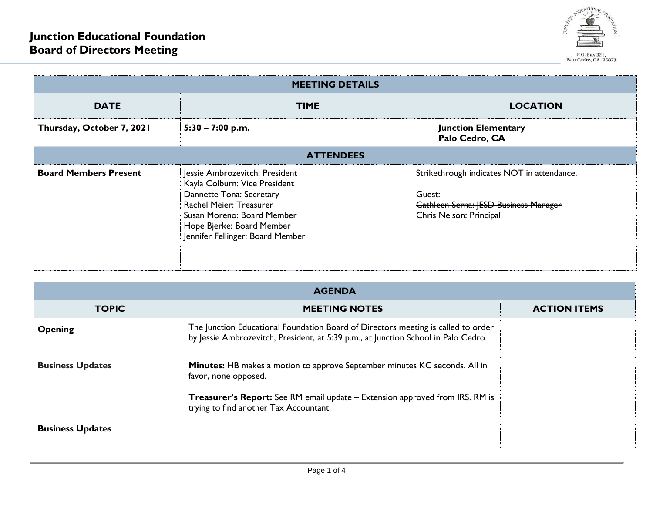

| <b>MEETING DETAILS</b>       |                                                                                                                                                                                                                       |        |                                                                                                                       |  |  |
|------------------------------|-----------------------------------------------------------------------------------------------------------------------------------------------------------------------------------------------------------------------|--------|-----------------------------------------------------------------------------------------------------------------------|--|--|
| <b>DATE</b>                  | <b>TIME</b>                                                                                                                                                                                                           |        | <b>LOCATION</b>                                                                                                       |  |  |
| Thursday, October 7, 2021    | $5:30 - 7:00$ p.m.                                                                                                                                                                                                    |        | <b>Junction Elementary</b><br>Palo Cedro, CA                                                                          |  |  |
| <b>ATTENDEES</b>             |                                                                                                                                                                                                                       |        |                                                                                                                       |  |  |
| <b>Board Members Present</b> | Jessie Ambrozevitch: President<br>Kayla Colburn: Vice President<br>Dannette Tona: Secretary<br>Rachel Meier: Treasurer<br>Susan Moreno: Board Member<br>Hope Bjerke: Board Member<br>Jennifer Fellinger: Board Member | Guest: | Strikethrough indicates NOT in attendance.<br><b>Cathleen Serna: JESD Business Manager</b><br>Chris Nelson: Principal |  |  |

| <b>AGENDA</b>           |                                                                                                                                                                         |                     |  |
|-------------------------|-------------------------------------------------------------------------------------------------------------------------------------------------------------------------|---------------------|--|
| <b>TOPIC</b>            | <b>MEETING NOTES</b>                                                                                                                                                    | <b>ACTION ITEMS</b> |  |
| <b>Opening</b>          | The Junction Educational Foundation Board of Directors meeting is called to order<br>by Jessie Ambrozevitch, President, at 5:39 p.m., at Junction School in Palo Cedro. |                     |  |
| <b>Business Updates</b> | <b>Minutes:</b> HB makes a motion to approve September minutes KC seconds. All in<br>favor, none opposed.                                                               |                     |  |
|                         | <b>Treasurer's Report:</b> See RM email update – Extension approved from IRS. RM is<br>trying to find another Tax Accountant.                                           |                     |  |
| <b>Business Updates</b> |                                                                                                                                                                         |                     |  |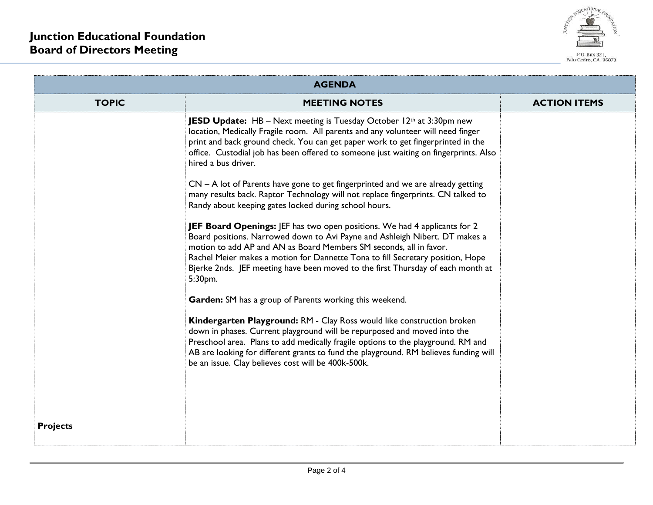

| <b>AGENDA</b>   |                                                                                                                                                                                                                                                                                                                                                                                                                       |                     |  |  |
|-----------------|-----------------------------------------------------------------------------------------------------------------------------------------------------------------------------------------------------------------------------------------------------------------------------------------------------------------------------------------------------------------------------------------------------------------------|---------------------|--|--|
| <b>TOPIC</b>    | <b>MEETING NOTES</b>                                                                                                                                                                                                                                                                                                                                                                                                  | <b>ACTION ITEMS</b> |  |  |
|                 | <b>JESD Update:</b> HB - Next meeting is Tuesday October $12th$ at 3:30pm new<br>location, Medically Fragile room. All parents and any volunteer will need finger<br>print and back ground check. You can get paper work to get fingerprinted in the<br>office. Custodial job has been offered to someone just waiting on fingerprints. Also<br>hired a bus driver.                                                   |                     |  |  |
|                 | $CN - A$ lot of Parents have gone to get fingerprinted and we are already getting<br>many results back. Raptor Technology will not replace fingerprints. CN talked to<br>Randy about keeping gates locked during school hours.                                                                                                                                                                                        |                     |  |  |
|                 | <b>JEF Board Openings:</b> JEF has two open positions. We had 4 applicants for 2<br>Board positions. Narrowed down to Avi Payne and Ashleigh Nibert. DT makes a<br>motion to add AP and AN as Board Members SM seconds, all in favor.<br>Rachel Meier makes a motion for Dannette Tona to fill Secretary position, Hope<br>Bjerke 2nds. JEF meeting have been moved to the first Thursday of each month at<br>5:30pm. |                     |  |  |
|                 | Garden: SM has a group of Parents working this weekend.                                                                                                                                                                                                                                                                                                                                                               |                     |  |  |
|                 | Kindergarten Playground: RM - Clay Ross would like construction broken<br>down in phases. Current playground will be repurposed and moved into the<br>Preschool area. Plans to add medically fragile options to the playground. RM and<br>AB are looking for different grants to fund the playground. RM believes funding will<br>be an issue. Clay believes cost will be 400k-500k.                                  |                     |  |  |
| <b>Projects</b> |                                                                                                                                                                                                                                                                                                                                                                                                                       |                     |  |  |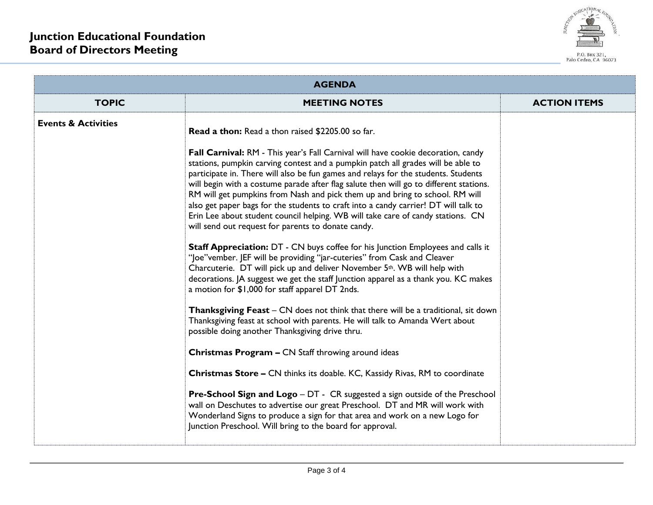

| <b>AGENDA</b>                  |                                                                                                                                                                                                                                                                                                                                                                                                                                                                                                                                                                                                                                                                                                                                                                                                                                                                                                                                                                                                                                                                                                                                                                                                                                                                                                                                                                                                                                                                                                                                                                                                                                                                                                                                                                                                                   |                     |  |
|--------------------------------|-------------------------------------------------------------------------------------------------------------------------------------------------------------------------------------------------------------------------------------------------------------------------------------------------------------------------------------------------------------------------------------------------------------------------------------------------------------------------------------------------------------------------------------------------------------------------------------------------------------------------------------------------------------------------------------------------------------------------------------------------------------------------------------------------------------------------------------------------------------------------------------------------------------------------------------------------------------------------------------------------------------------------------------------------------------------------------------------------------------------------------------------------------------------------------------------------------------------------------------------------------------------------------------------------------------------------------------------------------------------------------------------------------------------------------------------------------------------------------------------------------------------------------------------------------------------------------------------------------------------------------------------------------------------------------------------------------------------------------------------------------------------------------------------------------------------|---------------------|--|
| <b>TOPIC</b>                   | <b>MEETING NOTES</b>                                                                                                                                                                                                                                                                                                                                                                                                                                                                                                                                                                                                                                                                                                                                                                                                                                                                                                                                                                                                                                                                                                                                                                                                                                                                                                                                                                                                                                                                                                                                                                                                                                                                                                                                                                                              | <b>ACTION ITEMS</b> |  |
| <b>Events &amp; Activities</b> | <b>Read a thon:</b> Read a thon raised \$2205.00 so far.<br>Fall Carnival: RM - This year's Fall Carnival will have cookie decoration, candy<br>stations, pumpkin carving contest and a pumpkin patch all grades will be able to<br>participate in. There will also be fun games and relays for the students. Students<br>will begin with a costume parade after flag salute then will go to different stations.<br>RM will get pumpkins from Nash and pick them up and bring to school. RM will<br>also get paper bags for the students to craft into a candy carrier! DT will talk to<br>Erin Lee about student council helping. WB will take care of candy stations. CN<br>will send out request for parents to donate candy.<br><b>Staff Appreciation:</b> DT - CN buys coffee for his Junction Employees and calls it<br>"Joe"vember. JEF will be providing "jar-cuteries" from Cask and Cleaver<br>Charcuterie. DT will pick up and deliver November 5th. WB will help with<br>decorations. JA suggest we get the staff Junction apparel as a thank you. KC makes<br>a motion for \$1,000 for staff apparel DT 2nds.<br><b>Thanksgiving Feast</b> – CN does not think that there will be a traditional, sit down<br>Thanksgiving feast at school with parents. He will talk to Amanda Wert about<br>possible doing another Thanksgiving drive thru.<br>Christmas Program - CN Staff throwing around ideas<br>Christmas Store - CN thinks its doable. KC, Kassidy Rivas, RM to coordinate<br><b>Pre-School Sign and Logo</b> – DT - CR suggested a sign outside of the Preschool<br>wall on Deschutes to advertise our great Preschool. DT and MR will work with<br>Wonderland Signs to produce a sign for that area and work on a new Logo for<br>Junction Preschool. Will bring to the board for approval. |                     |  |